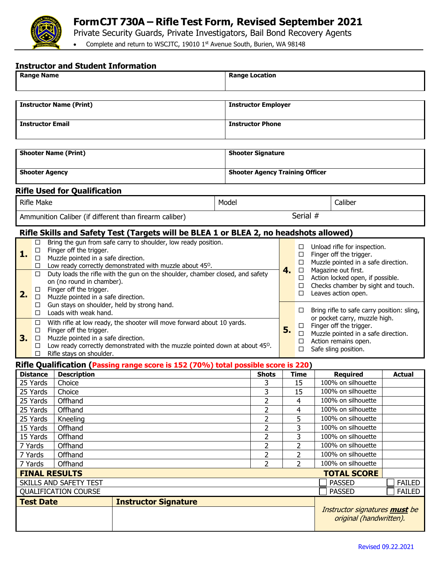

## **FormCJT 730A – Rifle Test Form, Revised September 2021**

Private Security Guards, Private Investigators, Bail Bond Recovery Agents

• Complete and return to WSCJTC, 19010 1st Avenue South, Burien, WA 98148

#### **Instructor and Student Information**

| <b>Range Name</b>                                                                                                                                                                                                                                                                                                                                                                                |                                 |                                                                                                                                                                                                          |                                                                                    |                  | <b>Range Location</b>                  |                                  |                                                                                               |                                                                                                                       |                                                                                                                                                                                               |  |               |  |
|--------------------------------------------------------------------------------------------------------------------------------------------------------------------------------------------------------------------------------------------------------------------------------------------------------------------------------------------------------------------------------------------------|---------------------------------|----------------------------------------------------------------------------------------------------------------------------------------------------------------------------------------------------------|------------------------------------------------------------------------------------|------------------|----------------------------------------|----------------------------------|-----------------------------------------------------------------------------------------------|-----------------------------------------------------------------------------------------------------------------------|-----------------------------------------------------------------------------------------------------------------------------------------------------------------------------------------------|--|---------------|--|
|                                                                                                                                                                                                                                                                                                                                                                                                  |                                 |                                                                                                                                                                                                          |                                                                                    |                  |                                        |                                  |                                                                                               |                                                                                                                       |                                                                                                                                                                                               |  |               |  |
| <b>Instructor Name (Print)</b>                                                                                                                                                                                                                                                                                                                                                                   |                                 |                                                                                                                                                                                                          |                                                                                    |                  | <b>Instructor Employer</b>             |                                  |                                                                                               |                                                                                                                       |                                                                                                                                                                                               |  |               |  |
| <b>Instructor Email</b>                                                                                                                                                                                                                                                                                                                                                                          |                                 |                                                                                                                                                                                                          |                                                                                    |                  | <b>Instructor Phone</b>                |                                  |                                                                                               |                                                                                                                       |                                                                                                                                                                                               |  |               |  |
|                                                                                                                                                                                                                                                                                                                                                                                                  |                                 |                                                                                                                                                                                                          |                                                                                    |                  |                                        |                                  |                                                                                               |                                                                                                                       |                                                                                                                                                                                               |  |               |  |
| <b>Shooter Name (Print)</b>                                                                                                                                                                                                                                                                                                                                                                      |                                 |                                                                                                                                                                                                          |                                                                                    |                  | <b>Shooter Signature</b>               |                                  |                                                                                               |                                                                                                                       |                                                                                                                                                                                               |  |               |  |
| <b>Shooter Agency</b>                                                                                                                                                                                                                                                                                                                                                                            |                                 |                                                                                                                                                                                                          |                                                                                    |                  | <b>Shooter Agency Training Officer</b> |                                  |                                                                                               |                                                                                                                       |                                                                                                                                                                                               |  |               |  |
| <b>Rifle Used for Qualification</b>                                                                                                                                                                                                                                                                                                                                                              |                                 |                                                                                                                                                                                                          |                                                                                    |                  |                                        |                                  |                                                                                               |                                                                                                                       |                                                                                                                                                                                               |  |               |  |
| <b>Rifle Make</b>                                                                                                                                                                                                                                                                                                                                                                                |                                 |                                                                                                                                                                                                          |                                                                                    | Caliber<br>Model |                                        |                                  |                                                                                               |                                                                                                                       |                                                                                                                                                                                               |  |               |  |
| Ammunition Caliber (if different than firearm caliber)                                                                                                                                                                                                                                                                                                                                           |                                 |                                                                                                                                                                                                          |                                                                                    |                  | Serial #                               |                                  |                                                                                               |                                                                                                                       |                                                                                                                                                                                               |  |               |  |
| Rifle Skills and Safety Test (Targets will be BLEA 1 or BLEA 2, no headshots allowed)                                                                                                                                                                                                                                                                                                            |                                 |                                                                                                                                                                                                          |                                                                                    |                  |                                        |                                  |                                                                                               |                                                                                                                       |                                                                                                                                                                                               |  |               |  |
| 1.                                                                                                                                                                                                                                                                                                                                                                                               | □<br>$\Box$<br>$\Box$<br>□.     | Bring the gun from safe carry to shoulder, low ready position.<br>Finger off the trigger.<br>Muzzle pointed in a safe direction.<br>Low ready correctly demonstrated with muzzle about 45 <sup>0</sup> . |                                                                                    |                  | 4.                                     | □<br>□<br>$\Box$<br>$\Box$       |                                                                                               | Unload rifle for inspection.<br>Finger off the trigger.<br>Muzzle pointed in a safe direction.<br>Magazine out first. |                                                                                                                                                                                               |  |               |  |
| 2.                                                                                                                                                                                                                                                                                                                                                                                               | $\Box$<br>$\Box$<br>$\Box$<br>0 | Duty loads the rifle with the gun on the shoulder, chamber closed, and safety<br>on (no round in chamber).<br>Finger off the trigger.<br>Muzzle pointed in a safe direction.                             |                                                                                    |                  |                                        | $\Box$<br>$\Box$<br>□            | Action locked open, if possible.<br>Checks chamber by sight and touch.<br>Leaves action open. |                                                                                                                       |                                                                                                                                                                                               |  |               |  |
| Gun stays on shoulder, held by strong hand.<br>Loads with weak hand.<br>$\Box$<br>With rifle at low ready, the shooter will move forward about 10 yards.<br>$\Box$<br>Finger off the trigger.<br>$\Box$<br>3.<br>Muzzle pointed in a safe direction.<br>$\Box$<br>Low ready correctly demonstrated with the muzzle pointed down at about 45 <sup>0</sup> .<br>□<br>Rifle stays on shoulder.<br>□ |                                 |                                                                                                                                                                                                          |                                                                                    |                  |                                        | 5.                               | □<br>$\Box$<br>$\Box$<br>□<br>□                                                               |                                                                                                                       | Bring rifle to safe carry position: sling,<br>or pocket carry, muzzle high.<br>Finger off the trigger.<br>Muzzle pointed in a safe direction.<br>Action remains open.<br>Safe sling position. |  |               |  |
|                                                                                                                                                                                                                                                                                                                                                                                                  |                                 |                                                                                                                                                                                                          | Rifle Qualification (Passing range score is 152 (70%) total possible score is 220) |                  |                                        |                                  |                                                                                               |                                                                                                                       |                                                                                                                                                                                               |  |               |  |
| <b>Distance</b><br><b>Description</b>                                                                                                                                                                                                                                                                                                                                                            |                                 |                                                                                                                                                                                                          |                                                                                    |                  | <b>Shots</b>                           | <b>Time</b>                      |                                                                                               |                                                                                                                       | <b>Required</b>                                                                                                                                                                               |  | <b>Actual</b> |  |
| 25 Yards                                                                                                                                                                                                                                                                                                                                                                                         |                                 | Choice                                                                                                                                                                                                   |                                                                                    |                  | 3                                      | 15                               |                                                                                               |                                                                                                                       | 100% on silhouette                                                                                                                                                                            |  |               |  |
| 25 Yards                                                                                                                                                                                                                                                                                                                                                                                         |                                 | Choice                                                                                                                                                                                                   |                                                                                    | 3                | 15                                     |                                  |                                                                                               | 100% on silhouette                                                                                                    |                                                                                                                                                                                               |  |               |  |
| 25 Yards                                                                                                                                                                                                                                                                                                                                                                                         |                                 | Offhand                                                                                                                                                                                                  |                                                                                    | $\overline{2}$   | 4                                      |                                  |                                                                                               | 100% on silhouette                                                                                                    |                                                                                                                                                                                               |  |               |  |
| 25 Yards                                                                                                                                                                                                                                                                                                                                                                                         |                                 | Offhand                                                                                                                                                                                                  |                                                                                    |                  | 2                                      | 4                                |                                                                                               |                                                                                                                       | 100% on silhouette                                                                                                                                                                            |  |               |  |
| 25 Yards                                                                                                                                                                                                                                                                                                                                                                                         |                                 | Kneeling                                                                                                                                                                                                 |                                                                                    | $\overline{2}$   | 5                                      |                                  |                                                                                               | 100% on silhouette                                                                                                    |                                                                                                                                                                                               |  |               |  |
| 15 Yards                                                                                                                                                                                                                                                                                                                                                                                         |                                 | Offhand                                                                                                                                                                                                  |                                                                                    |                  | $\overline{2}$                         | 3                                |                                                                                               |                                                                                                                       | 100% on silhouette                                                                                                                                                                            |  |               |  |
| 15 Yards<br>7 Yards                                                                                                                                                                                                                                                                                                                                                                              |                                 | Offhand                                                                                                                                                                                                  |                                                                                    |                  | $\overline{2}$                         | 3                                |                                                                                               |                                                                                                                       | 100% on silhouette<br>100% on silhouette                                                                                                                                                      |  |               |  |
| 7 Yards                                                                                                                                                                                                                                                                                                                                                                                          |                                 | Offhand<br>Offhand                                                                                                                                                                                       |                                                                                    |                  | $\overline{2}$<br>$\overline{2}$       | $\overline{2}$<br>$\overline{2}$ |                                                                                               |                                                                                                                       | 100% on silhouette                                                                                                                                                                            |  |               |  |
| 7 Yards                                                                                                                                                                                                                                                                                                                                                                                          |                                 | Offhand                                                                                                                                                                                                  |                                                                                    |                  | $\overline{2}$                         | $\overline{2}$                   |                                                                                               |                                                                                                                       | 100% on silhouette                                                                                                                                                                            |  |               |  |
| <b>FINAL RESULTS</b>                                                                                                                                                                                                                                                                                                                                                                             |                                 |                                                                                                                                                                                                          |                                                                                    |                  |                                        |                                  |                                                                                               |                                                                                                                       | <b>TOTAL SCORE</b>                                                                                                                                                                            |  |               |  |
| SKILLS AND SAFETY TEST                                                                                                                                                                                                                                                                                                                                                                           |                                 |                                                                                                                                                                                                          |                                                                                    |                  |                                        |                                  |                                                                                               |                                                                                                                       | <b>PASSED</b>                                                                                                                                                                                 |  | <b>FAILED</b> |  |
| <b>QUALIFICATION COURSE</b>                                                                                                                                                                                                                                                                                                                                                                      |                                 |                                                                                                                                                                                                          |                                                                                    |                  |                                        |                                  |                                                                                               |                                                                                                                       | <b>PASSED</b>                                                                                                                                                                                 |  | <b>FAILED</b> |  |
| <b>Test Date</b><br><b>Instructor Signature</b>                                                                                                                                                                                                                                                                                                                                                  |                                 |                                                                                                                                                                                                          |                                                                                    |                  |                                        |                                  |                                                                                               | Instructor signatures must be<br>original (handwritten).                                                              |                                                                                                                                                                                               |  |               |  |